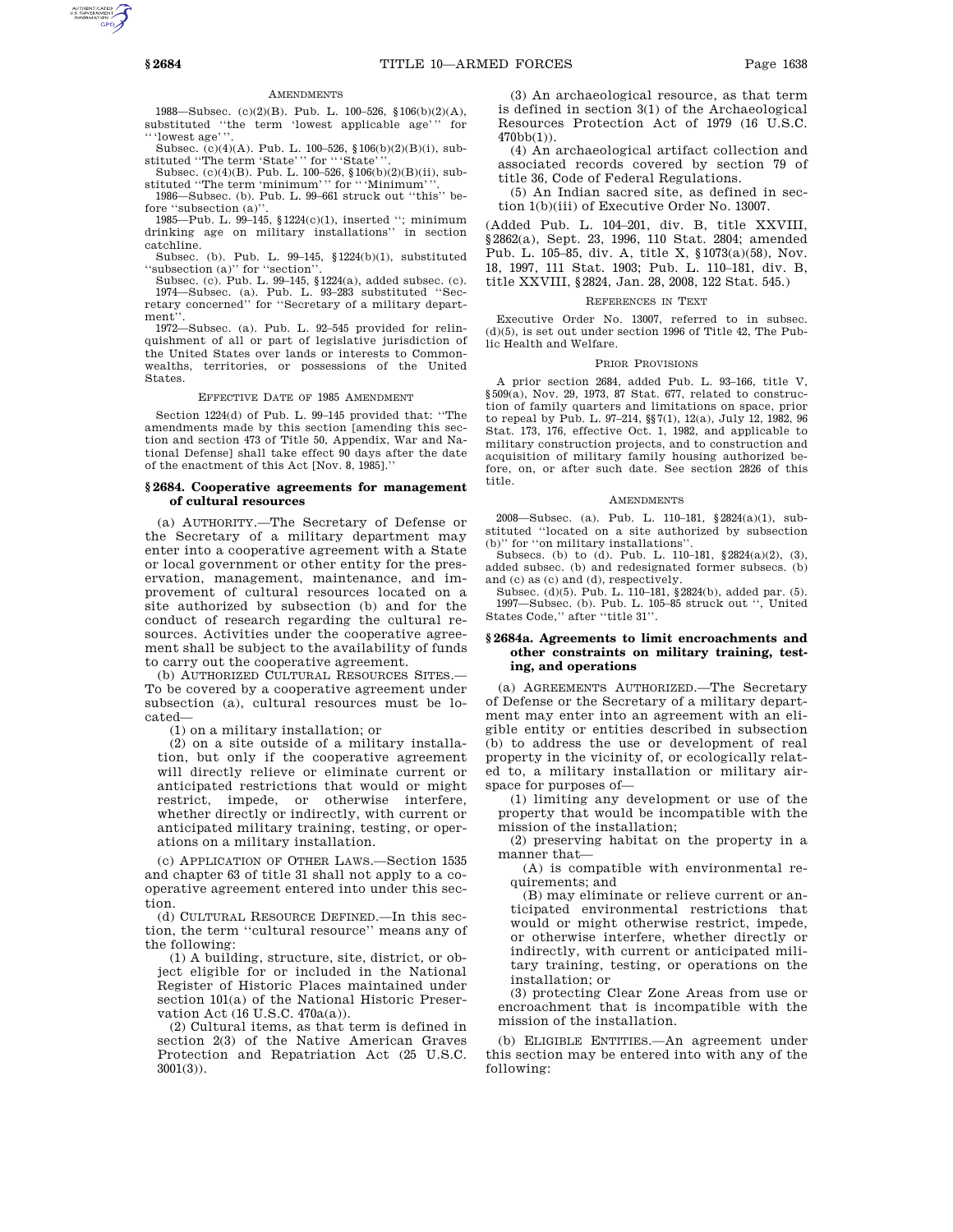### **AMENDMENTS**

1988—Subsec. (c)(2)(B). Pub. L. 100–526, §106(b)(2)(A), substituted ''the term 'lowest applicable age''' for '''lowest age'''.

Subsec. (c)(4)(A). Pub. L. 100–526, §106(b)(2)(B)(i), substituted ''The term 'State''' for '''State'''.

Subsec. (c)(4)(B). Pub. L. 100–526, §106(b)(2)(B)(ii), substituted ''The term 'minimum''' for '''Minimum'''.

1986—Subsec. (b). Pub. L. 99–661 struck out ''this'' before "subsection (a)".

1985—Pub. L. 99–145, §1224(c)(1), inserted ''; minimum drinking age on military installations'' in section catchline.

Subsec. (b). Pub. L. 99–145, §1224(b)(1), substituted ''subsection (a)'' for ''section''.

Subsec. (c). Pub. L. 99–145, §1224(a), added subsec. (c). 1974—Subsec. (a). Pub. L. 93–283 substituted ''Secretary concerned'' for ''Secretary of a military department'

1972—Subsec. (a). Pub. L. 92–545 provided for relinquishment of all or part of legislative jurisdiction of the United States over lands or interests to Commonwealths, territories, or possessions of the United States.

### EFFECTIVE DATE OF 1985 AMENDMENT

Section 1224(d) of Pub. L. 99–145 provided that: ''The amendments made by this section [amending this section and section 473 of Title 50, Appendix, War and National Defense] shall take effect 90 days after the date of the enactment of this Act [Nov. 8, 1985].''

## **§ 2684. Cooperative agreements for management of cultural resources**

(a) AUTHORITY.—The Secretary of Defense or the Secretary of a military department may enter into a cooperative agreement with a State or local government or other entity for the preservation, management, maintenance, and improvement of cultural resources located on a site authorized by subsection (b) and for the conduct of research regarding the cultural resources. Activities under the cooperative agreement shall be subject to the availability of funds to carry out the cooperative agreement.

(b) AUTHORIZED CULTURAL RESOURCES SITES.— To be covered by a cooperative agreement under subsection (a), cultural resources must be located—

(1) on a military installation; or

(2) on a site outside of a military installation, but only if the cooperative agreement will directly relieve or eliminate current or anticipated restrictions that would or might restrict, impede, or otherwise interfere, whether directly or indirectly, with current or anticipated military training, testing, or operations on a military installation.

(c) APPLICATION OF OTHER LAWS.—Section 1535 and chapter 63 of title 31 shall not apply to a cooperative agreement entered into under this section.

(d) CULTURAL RESOURCE DEFINED.—In this section, the term ''cultural resource'' means any of the following:

(1) A building, structure, site, district, or object eligible for or included in the National Register of Historic Places maintained under section 101(a) of the National Historic Preservation Act (16 U.S.C. 470a(a)).

(2) Cultural items, as that term is defined in section 2(3) of the Native American Graves Protection and Repatriation Act (25 U.S.C. 3001(3)).

(3) An archaeological resource, as that term is defined in section 3(1) of the Archaeological Resources Protection Act of 1979 (16 U.S.C.  $470h(h(1))$ 

(4) An archaeological artifact collection and associated records covered by section 79 of title 36, Code of Federal Regulations.

(5) An Indian sacred site, as defined in section 1(b)(iii) of Executive Order No. 13007.

(Added Pub. L. 104–201, div. B, title XXVIII, §2862(a), Sept. 23, 1996, 110 Stat. 2804; amended Pub. L. 105–85, div. A, title X, §1073(a)(58), Nov. 18, 1997, 111 Stat. 1903; Pub. L. 110–181, div. B, title XXVIII, §2824, Jan. 28, 2008, 122 Stat. 545.)

#### REFERENCES IN TEXT

Executive Order No. 13007, referred to in subsec. (d)(5), is set out under section 1996 of Title 42, The Public Health and Welfare.

#### PRIOR PROVISIONS

A prior section 2684, added Pub. L. 93–166, title V, §509(a), Nov. 29, 1973, 87 Stat. 677, related to construction of family quarters and limitations on space, prior to repeal by Pub. L. 97–214, §§7(1), 12(a), July 12, 1982, 96 Stat. 173, 176, effective Oct. 1, 1982, and applicable to military construction projects, and to construction and acquisition of military family housing authorized before, on, or after such date. See section 2826 of this title.

#### **AMENDMENTS**

2008—Subsec. (a). Pub. L. 110–181, §2824(a)(1), substituted ''located on a site authorized by subsection (b)'' for ''on military installations''.

Subsecs. (b) to (d). Pub. L. 110–181, §2824(a)(2), (3), added subsec. (b) and redesignated former subsecs. (b) and (c) as (c) and (d), respectively.

Subsec. (d)(5). Pub. L. 110–181, §2824(b), added par. (5). 1997—Subsec. (b). Pub. L. 105–85 struck out '', United States Code,'' after ''title 31''.

# **§ 2684a. Agreements to limit encroachments and other constraints on military training, testing, and operations**

(a) AGREEMENTS AUTHORIZED.—The Secretary of Defense or the Secretary of a military department may enter into an agreement with an eligible entity or entities described in subsection (b) to address the use or development of real property in the vicinity of, or ecologically related to, a military installation or military airspace for purposes of—

(1) limiting any development or use of the property that would be incompatible with the mission of the installation;

(2) preserving habitat on the property in a manner that—

(A) is compatible with environmental requirements; and

(B) may eliminate or relieve current or anticipated environmental restrictions that would or might otherwise restrict, impede, or otherwise interfere, whether directly or indirectly, with current or anticipated military training, testing, or operations on the installation; or

(3) protecting Clear Zone Areas from use or encroachment that is incompatible with the mission of the installation.

(b) ELIGIBLE ENTITIES.—An agreement under this section may be entered into with any of the following: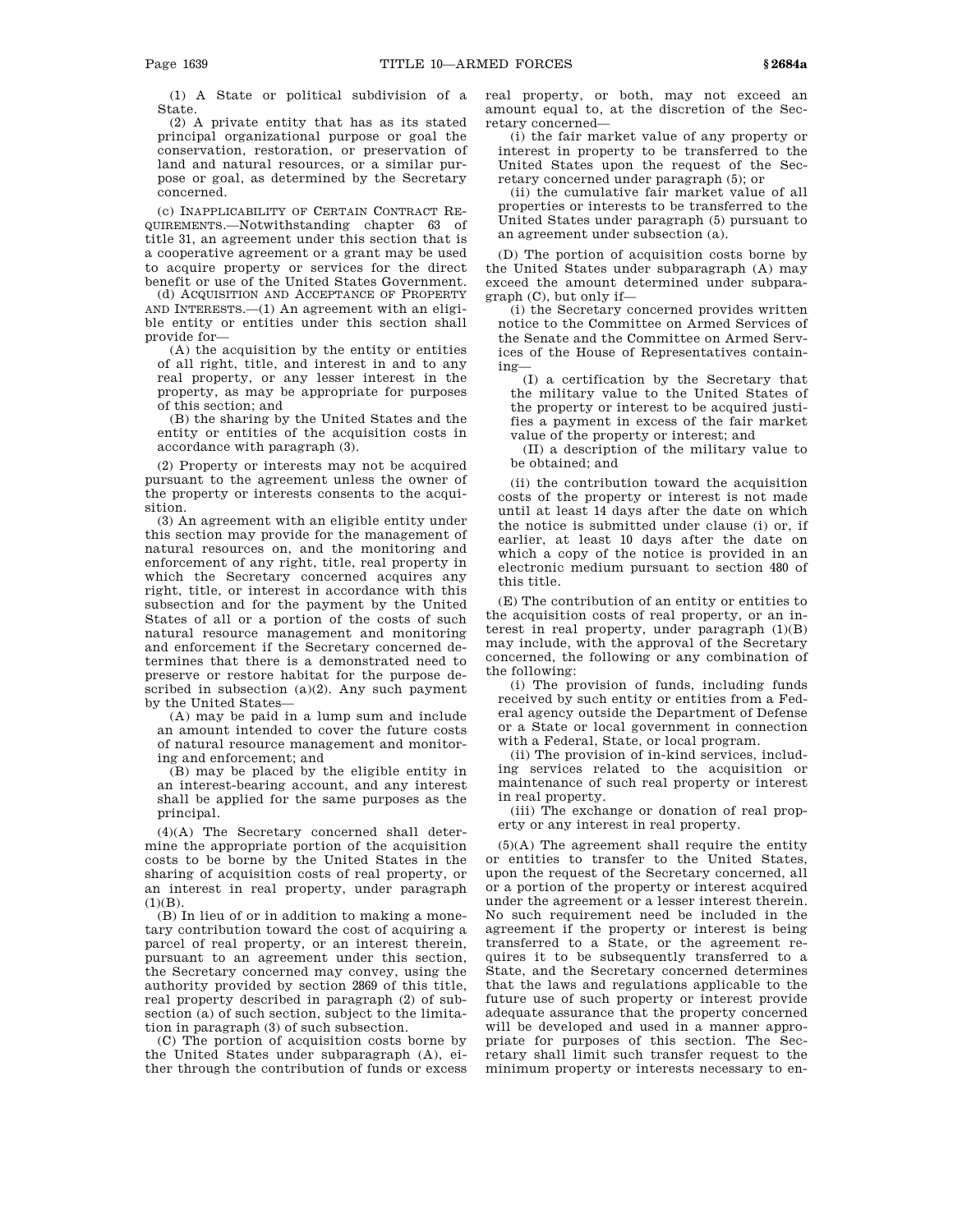(1) A State or political subdivision of a State.

(2) A private entity that has as its stated principal organizational purpose or goal the conservation, restoration, or preservation of land and natural resources, or a similar purpose or goal, as determined by the Secretary concerned.

(c) INAPPLICABILITY OF CERTAIN CONTRACT RE-QUIREMENTS.—Notwithstanding chapter 63 of title 31, an agreement under this section that is a cooperative agreement or a grant may be used to acquire property or services for the direct benefit or use of the United States Government.

(d) ACQUISITION AND ACCEPTANCE OF PROPERTY AND INTERESTS.—(1) An agreement with an eligible entity or entities under this section shall provide for—

(A) the acquisition by the entity or entities of all right, title, and interest in and to any real property, or any lesser interest in the property, as may be appropriate for purposes of this section; and

(B) the sharing by the United States and the entity or entities of the acquisition costs in accordance with paragraph (3).

(2) Property or interests may not be acquired pursuant to the agreement unless the owner of the property or interests consents to the acquisition.

(3) An agreement with an eligible entity under this section may provide for the management of natural resources on, and the monitoring and enforcement of any right, title, real property in which the Secretary concerned acquires any right, title, or interest in accordance with this subsection and for the payment by the United States of all or a portion of the costs of such natural resource management and monitoring and enforcement if the Secretary concerned determines that there is a demonstrated need to preserve or restore habitat for the purpose described in subsection  $(a)(2)$ . Any such payment by the United States—

(A) may be paid in a lump sum and include an amount intended to cover the future costs of natural resource management and monitoring and enforcement; and

(B) may be placed by the eligible entity in an interest-bearing account, and any interest shall be applied for the same purposes as the principal.

(4)(A) The Secretary concerned shall determine the appropriate portion of the acquisition costs to be borne by the United States in the sharing of acquisition costs of real property, or an interest in real property, under paragraph  $(1)(B)$ .

(B) In lieu of or in addition to making a monetary contribution toward the cost of acquiring a parcel of real property, or an interest therein, pursuant to an agreement under this section, the Secretary concerned may convey, using the authority provided by section 2869 of this title, real property described in paragraph (2) of subsection (a) of such section, subject to the limitation in paragraph (3) of such subsection.

(C) The portion of acquisition costs borne by the United States under subparagraph (A), either through the contribution of funds or excess real property, or both, may not exceed an amount equal to, at the discretion of the Secretary concerned—

(i) the fair market value of any property or interest in property to be transferred to the United States upon the request of the Secretary concerned under paragraph (5); or

(ii) the cumulative fair market value of all properties or interests to be transferred to the United States under paragraph (5) pursuant to an agreement under subsection (a).

(D) The portion of acquisition costs borne by the United States under subparagraph (A) may exceed the amount determined under subparagraph (C), but only if—

(i) the Secretary concerned provides written notice to the Committee on Armed Services of the Senate and the Committee on Armed Services of the House of Representatives containing—

(I) a certification by the Secretary that the military value to the United States of the property or interest to be acquired justifies a payment in excess of the fair market value of the property or interest; and

(II) a description of the military value to be obtained; and

(ii) the contribution toward the acquisition costs of the property or interest is not made until at least 14 days after the date on which the notice is submitted under clause (i) or, if earlier, at least 10 days after the date on which a copy of the notice is provided in an electronic medium pursuant to section 480 of this title.

(E) The contribution of an entity or entities to the acquisition costs of real property, or an interest in real property, under paragraph  $(1)(B)$ may include, with the approval of the Secretary concerned, the following or any combination of the following:

(i) The provision of funds, including funds received by such entity or entities from a Federal agency outside the Department of Defense or a State or local government in connection with a Federal, State, or local program.

(ii) The provision of in-kind services, including services related to the acquisition or maintenance of such real property or interest in real property.

(iii) The exchange or donation of real property or any interest in real property.

(5)(A) The agreement shall require the entity or entities to transfer to the United States, upon the request of the Secretary concerned, all or a portion of the property or interest acquired under the agreement or a lesser interest therein. No such requirement need be included in the agreement if the property or interest is being transferred to a State, or the agreement requires it to be subsequently transferred to a State, and the Secretary concerned determines that the laws and regulations applicable to the future use of such property or interest provide adequate assurance that the property concerned will be developed and used in a manner appropriate for purposes of this section. The Secretary shall limit such transfer request to the minimum property or interests necessary to en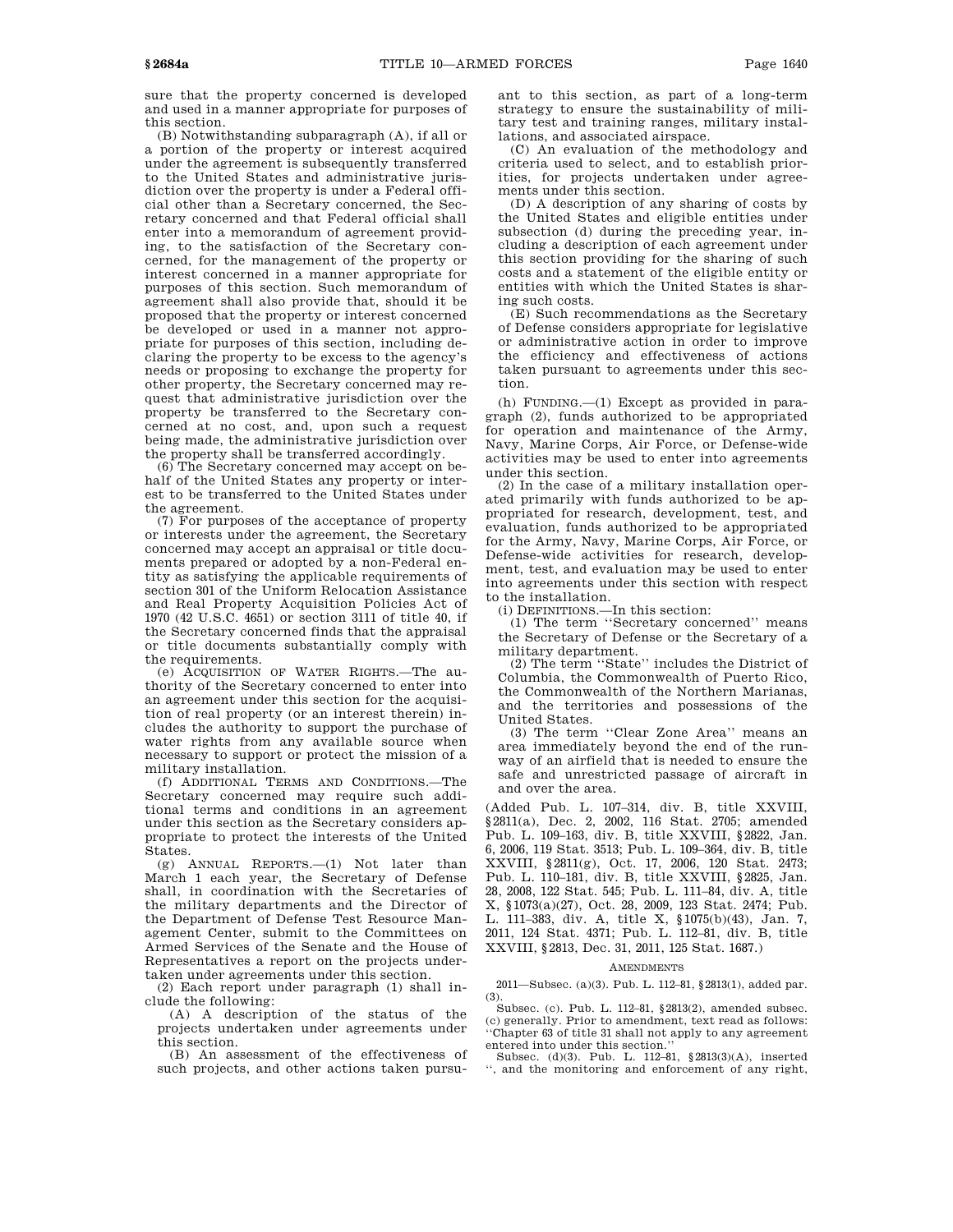sure that the property concerned is developed and used in a manner appropriate for purposes of this section.

(B) Notwithstanding subparagraph (A), if all or a portion of the property or interest acquired under the agreement is subsequently transferred to the United States and administrative jurisdiction over the property is under a Federal official other than a Secretary concerned, the Secretary concerned and that Federal official shall enter into a memorandum of agreement providing, to the satisfaction of the Secretary concerned, for the management of the property or interest concerned in a manner appropriate for purposes of this section. Such memorandum of agreement shall also provide that, should it be proposed that the property or interest concerned be developed or used in a manner not appropriate for purposes of this section, including declaring the property to be excess to the agency's needs or proposing to exchange the property for other property, the Secretary concerned may request that administrative jurisdiction over the property be transferred to the Secretary concerned at no cost, and, upon such a request being made, the administrative jurisdiction over the property shall be transferred accordingly.

(6) The Secretary concerned may accept on behalf of the United States any property or interest to be transferred to the United States under the agreement.

(7) For purposes of the acceptance of property or interests under the agreement, the Secretary concerned may accept an appraisal or title documents prepared or adopted by a non-Federal entity as satisfying the applicable requirements of section 301 of the Uniform Relocation Assistance and Real Property Acquisition Policies Act of 1970 (42 U.S.C. 4651) or section 3111 of title 40, if the Secretary concerned finds that the appraisal or title documents substantially comply with the requirements.

(e) ACQUISITION OF WATER RIGHTS.—The authority of the Secretary concerned to enter into an agreement under this section for the acquisition of real property (or an interest therein) includes the authority to support the purchase of water rights from any available source when necessary to support or protect the mission of a military installation.

(f) ADDITIONAL TERMS AND CONDITIONS.—The Secretary concerned may require such additional terms and conditions in an agreement under this section as the Secretary considers appropriate to protect the interests of the United States.

(g) ANNUAL REPORTS.—(1) Not later than March 1 each year, the Secretary of Defense shall, in coordination with the Secretaries of the military departments and the Director of the Department of Defense Test Resource Management Center, submit to the Committees on Armed Services of the Senate and the House of Representatives a report on the projects undertaken under agreements under this section.

(2) Each report under paragraph (1) shall include the following:

(A) A description of the status of the projects undertaken under agreements under this section.

(B) An assessment of the effectiveness of such projects, and other actions taken pursu-

ant to this section, as part of a long-term strategy to ensure the sustainability of military test and training ranges, military installations, and associated airspace.

(C) An evaluation of the methodology and criteria used to select, and to establish priorities, for projects undertaken under agreements under this section.

(D) A description of any sharing of costs by the United States and eligible entities under subsection (d) during the preceding year, including a description of each agreement under this section providing for the sharing of such costs and a statement of the eligible entity or entities with which the United States is sharing such costs.

(E) Such recommendations as the Secretary of Defense considers appropriate for legislative or administrative action in order to improve the efficiency and effectiveness of actions taken pursuant to agreements under this section.

(h) FUNDING.—(1) Except as provided in paragraph (2), funds authorized to be appropriated for operation and maintenance of the Army, Navy, Marine Corps, Air Force, or Defense-wide activities may be used to enter into agreements under this section.

(2) In the case of a military installation operated primarily with funds authorized to be appropriated for research, development, test, and evaluation, funds authorized to be appropriated for the Army, Navy, Marine Corps, Air Force, or Defense-wide activities for research, development, test, and evaluation may be used to enter into agreements under this section with respect to the installation.

(i) DEFINITIONS.—In this section:

(1) The term ''Secretary concerned'' means the Secretary of Defense or the Secretary of a military department.

(2) The term ''State'' includes the District of Columbia, the Commonwealth of Puerto Rico, the Commonwealth of the Northern Marianas, and the territories and possessions of the United States.

(3) The term ''Clear Zone Area'' means an area immediately beyond the end of the runway of an airfield that is needed to ensure the safe and unrestricted passage of aircraft in and over the area.

(Added Pub. L. 107–314, div. B, title XXVIII, §2811(a), Dec. 2, 2002, 116 Stat. 2705; amended Pub. L. 109–163, div. B, title XXVIII, §2822, Jan. 6, 2006, 119 Stat. 3513; Pub. L. 109–364, div. B, title XXVIII, §2811(g), Oct. 17, 2006, 120 Stat. 2473; Pub. L. 110–181, div. B, title XXVIII, §2825, Jan. 28, 2008, 122 Stat. 545; Pub. L. 111–84, div. A, title X, §1073(a)(27), Oct. 28, 2009, 123 Stat. 2474; Pub. L. 111–383, div. A, title X, §1075(b)(43), Jan. 7, 2011, 124 Stat. 4371; Pub. L. 112–81, div. B, title XXVIII, §2813, Dec. 31, 2011, 125 Stat. 1687.)

### **AMENDMENTS**

2011—Subsec. (a)(3). Pub. L. 112–81, §2813(1), added par. (3).

Subsec. (c). Pub. L. 112–81, §2813(2), amended subsec. (c) generally. Prior to amendment, text read as follows: ''Chapter 63 of title 31 shall not apply to any agreement

entered into under this section.'' Subsec. (d)(3). Pub. L. 112–81, §2813(3)(A), inserted '', and the monitoring and enforcement of any right,